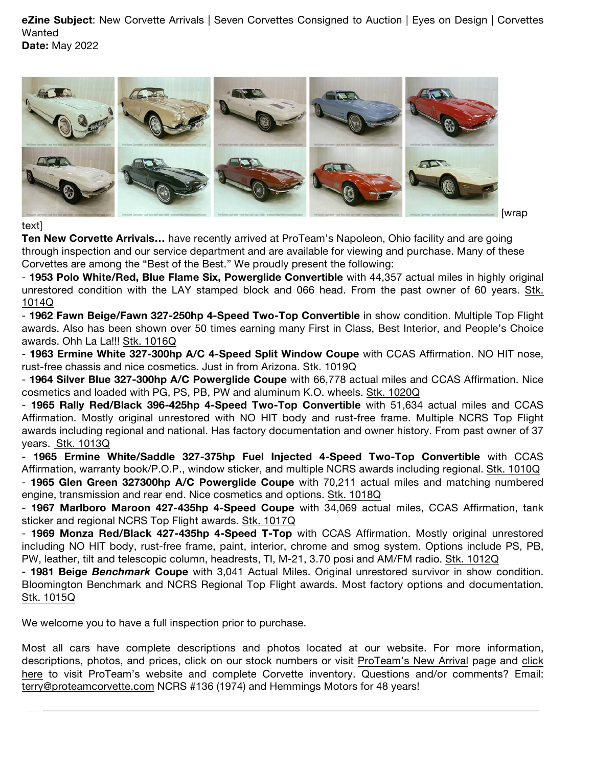**eZine Subject**: New Corvette Arrivals | Seven Corvettes Consigned to Auction | Eyes on Design | Corvettes Wanted **Date:** May 2022



### text]

**Ten New Corvette Arrivals…** have recently arrived at ProTeam's Napoleon, Ohio facility and are going through inspection and our service department and are available for viewing and purchase. Many of these Corvettes are among the "Best of the Best." We proudly present the following:

- **1953 Polo White/Red, Blue Flame Six, Powerglide Convertible** with 44,357 actual miles in highly original unrestored condition with the LAY stamped block and 066 head. From the past owner of 60 years. Stk. 1014Q

- **1962 Fawn Beige/Fawn 327-250hp 4-Speed Two-Top Convertible** in show condition. Multiple Top Flight awards. Also has been shown over 50 times earning many First in Class, Best Interior, and People's Choice awards. Ohh La La!!! Stk. 1016Q

- **1963 Ermine White 327-300hp A/C 4-Speed Split Window Coupe** with CCAS Affirmation. NO HIT nose, rust-free chassis and nice cosmetics. Just in from Arizona. Stk. 1019Q

- **1964 Silver Blue 327-300hp A/C Powerglide Coupe** with 66,778 actual miles and CCAS Affirmation. Nice cosmetics and loaded with PG, PS, PB, PW and aluminum K.O. wheels. Stk. 1020Q

- **1965 Rally Red/Black 396-425hp 4-Speed Two-Top Convertible** with 51,634 actual miles and CCAS Affirmation. Mostly original unrestored with NO HIT body and rust-free frame. Multiple NCRS Top Flight awards including regional and national. Has factory documentation and owner history. From past owner of 37 years. Stk. 1013Q

- **1965 Ermine White/Saddle 327-375hp Fuel Injected 4-Speed Two-Top Convertible** with CCAS Affirmation, warranty book/P.O.P., window sticker, and multiple NCRS awards including regional. Stk. 1010Q - **1965 Glen Green 327300hp A/C Powerglide Coupe** with 70,211 actual miles and matching numbered engine, transmission and rear end. Nice cosmetics and options. Stk. 1018Q

- **1967 Marlboro Maroon 427-435hp 4-Speed Coupe** with 34,069 actual miles, CCAS Affirmation, tank sticker and regional NCRS Top Flight awards. Stk. 1017Q

- **1969 Monza Red/Black 427-435hp 4-Speed T-Top** with CCAS Affirmation. Mostly original unrestored including NO HIT body, rust-free frame, paint, interior, chrome and smog system. Options include PS, PB, PW, leather, tilt and telescopic column, headrests, TI, M-21, 3.70 posi and AM/FM radio. Stk. 1012Q

- **1981 Beige** *Benchmark* **Coupe** with 3,041 Actual Miles. Original unrestored survivor in show condition. Bloomington Benchmark and NCRS Regional Top Flight awards. Most factory options and documentation. Stk. 1015Q

We welcome you to have a full inspection prior to purchase.

Most all cars have complete descriptions and photos located at our website. For more information, descriptions, photos, and prices, click on our stock numbers or visit ProTeam's New Arrival page and click here to visit ProTeam's website and complete Corvette inventory. Questions and/or comments? Email: terry@proteamcorvette.com NCRS #136 (1974) and Hemmings Motors for 48 years!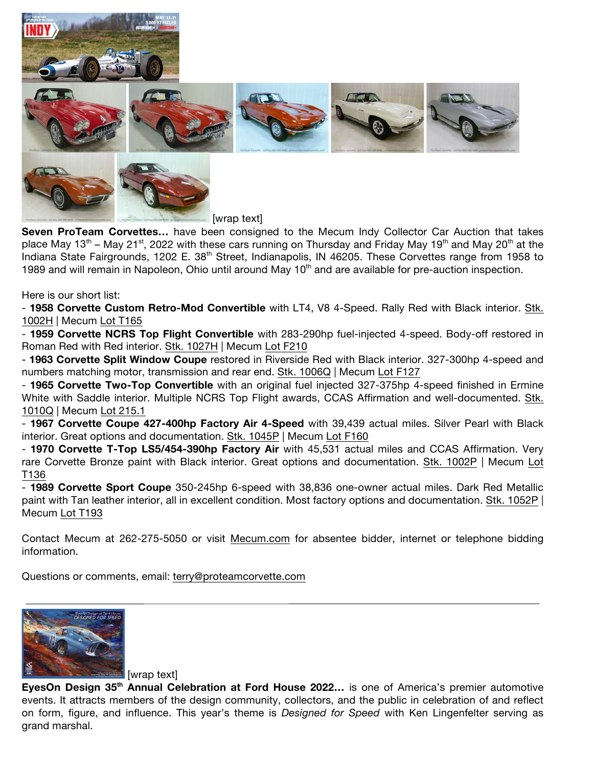



**Seven ProTeam Corvettes…** have been consigned to the Mecum Indy Collector Car Auction that takes place May 13<sup>th</sup> – May 21<sup>st</sup>, 2022 with these cars running on Thursday and Friday May 19<sup>th</sup> and May 20<sup>th</sup> at the Indiana State Fairgrounds, 1202 E. 38<sup>th</sup> Street, Indianapolis, IN 46205. These Corvettes range from 1958 to 1989 and will remain in Napoleon, Ohio until around May 10<sup>th</sup> and are available for pre-auction inspection.

Here is our short list:

- **1958 Corvette Custom Retro-Mod Convertible** with LT4, V8 4-Speed. Rally Red with Black interior. Stk. 1002H | Mecum Lot T165

- **1959 Corvette NCRS Top Flight Convertible** with 283-290hp fuel-injected 4-speed. Body-off restored in Roman Red with Red interior. Stk. 1027H | Mecum Lot F210

- **1963 Corvette Split Window Coupe** restored in Riverside Red with Black interior. 327-300hp 4-speed and numbers matching motor, transmission and rear end. Stk. 1006Q | Mecum Lot F127

- **1965 Corvette Two-Top Convertible** with an original fuel injected 327-375hp 4-speed finished in Ermine White with Saddle interior. Multiple NCRS Top Flight awards, CCAS Affirmation and well-documented. Stk. 1010Q | Mecum Lot 215.1

- **1967 Corvette Coupe 427-400hp Factory Air 4-Speed** with 39,439 actual miles. Silver Pearl with Black interior. Great options and documentation. Stk. 1045P | Mecum Lot F160

- **1970 Corvette T-Top LS5/454-390hp Factory Air** with 45,531 actual miles and CCAS Affirmation. Very rare Corvette Bronze paint with Black interior. Great options and documentation. Stk. 1002P | Mecum Lot T136

- **1989 Corvette Sport Coupe** 350-245hp 6-speed with 38,836 one-owner actual miles. Dark Red Metallic paint with Tan leather interior, all in excellent condition. Most factory options and documentation. Stk. 1052P | Mecum Lot T193

Contact Mecum at 262-275-5050 or visit Mecum.com for absentee bidder, internet or telephone bidding information.

Questions or comments, email: terry@proteamcorvette.com



[wrap text]

**EyesOn Design 35th Annual Celebration at Ford House 2022…** is one of America's premier automotive events. It attracts members of the design community, collectors, and the public in celebration of and reflect on form, figure, and influence. This year's theme is *Designed for Speed* with Ken Lingenfelter serving as grand marshal.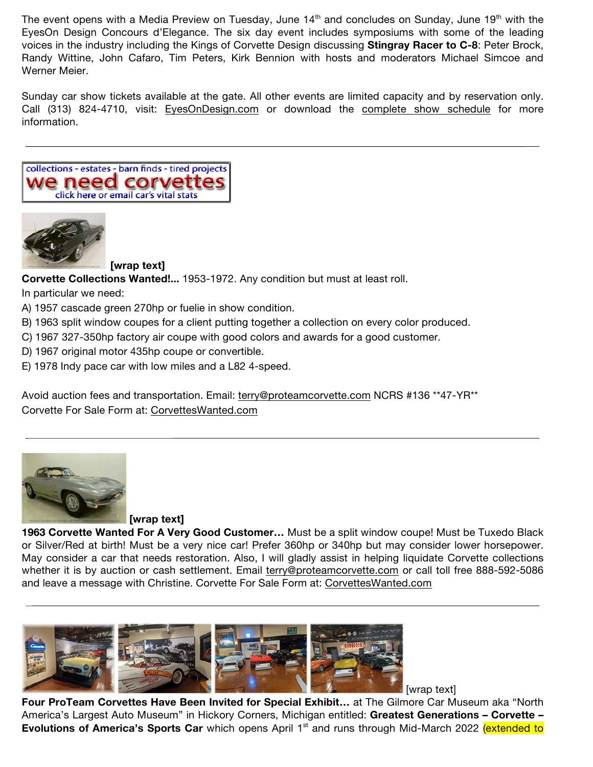The event opens with a Media Preview on Tuesday, June  $14<sup>th</sup>$  and concludes on Sunday, June 19<sup>th</sup> with the EyesOn Design Concours d'Elegance. The six day event includes symposiums with some of the leading voices in the industry including the Kings of Corvette Design discussing **Stingray Racer to C-8**: Peter Brock, Randy Wittine, John Cafaro, Tim Peters, Kirk Bennion with hosts and moderators Michael Simcoe and Werner Meier.

Sunday car show tickets available at the gate. All other events are limited capacity and by reservation only. Call (313) 824-4710, visit: EyesOnDesign.com or download the complete show schedule for more information.





**[wrap text]**

**Corvette Collections Wanted!...** 1953-1972. Any condition but must at least roll.

In particular we need:

- A) 1957 cascade green 270hp or fuelie in show condition.
- B) 1963 split window coupes for a client putting together a collection on every color produced.
- C) 1967 327-350hp factory air coupe with good colors and awards for a good customer.
- D) 1967 original motor 435hp coupe or convertible.
- E) 1978 Indy pace car with low miles and a L82 4-speed.

Avoid auction fees and transportation. Email: terry@proteamcorvette.com NCRS #136 \*\*47-YR\*\* Corvette For Sale Form at: CorvettesWanted.com



**[wrap text]**

**1963 Corvette Wanted For A Very Good Customer…** Must be a split window coupe! Must be Tuxedo Black or Silver/Red at birth! Must be a very nice car! Prefer 360hp or 340hp but may consider lower horsepower. May consider a car that needs restoration. Also, I will gladly assist in helping liquidate Corvette collections whether it is by auction or cash settlement. Email terry@proteamcorvette.com or call toll free 888-592-5086 and leave a message with Christine. Corvette For Sale Form at: CorvettesWanted.com



**Four ProTeam Corvettes Have Been Invited for Special Exhibit…** at The Gilmore Car Museum aka "North America's Largest Auto Museum" in Hickory Corners, Michigan entitled: **Greatest Generations – Corvette – Evolutions of America's Sports Car** which opens April 1<sup>st</sup> and runs through Mid-March 2022 (extended to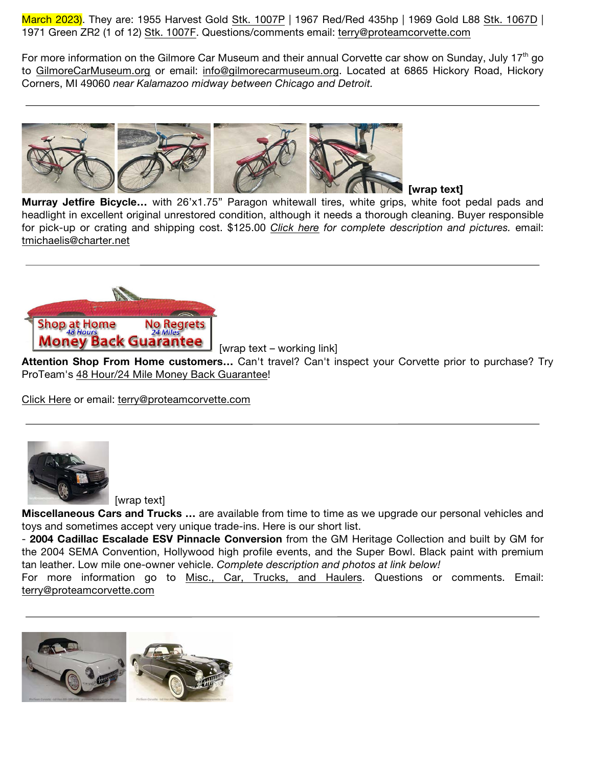March 2023). They are: 1955 Harvest Gold Stk. 1007P | 1967 Red/Red 435hp | 1969 Gold L88 Stk. 1067D | 1971 Green ZR2 (1 of 12) Stk. 1007F. Questions/comments email: terry@proteamcorvette.com

For more information on the Gilmore Car Museum and their annual Corvette car show on Sunday, July 17<sup>th</sup> go to GilmoreCarMuseum.org or email: info@gilmorecarmuseum.org. Located at 6865 Hickory Road, Hickory Corners, MI 49060 *near Kalamazoo midway between Chicago and Detroit.*



## **[wrap text]**

**Murray Jetfire Bicycle…** with 26'x1.75" Paragon whitewall tires, white grips, white foot pedal pads and headlight in excellent original unrestored condition, although it needs a thorough cleaning. Buyer responsible for pick-up or crating and shipping cost. \$125.00 *Click here for complete description and pictures.* email: tmichaelis@charter.net



[wrap text – working link]

**Attention Shop From Home customers…** Can't travel? Can't inspect your Corvette prior to purchase? Try ProTeam's 48 Hour/24 Mile Money Back Guarantee!

Click Here or email: terry@proteamcorvette.com



[wrap text]

**Miscellaneous Cars and Trucks …** are available from time to time as we upgrade our personal vehicles and toys and sometimes accept very unique trade-ins. Here is our short list.

- **2004 Cadillac Escalade ESV Pinnacle Conversion** from the GM Heritage Collection and built by GM for the 2004 SEMA Convention, Hollywood high profile events, and the Super Bowl. Black paint with premium tan leather. Low mile one-owner vehicle. *Complete description and photos at link below!*

For more information go to Misc., Car, Trucks, and Haulers. Questions or comments. Email: terry@proteamcorvette.com

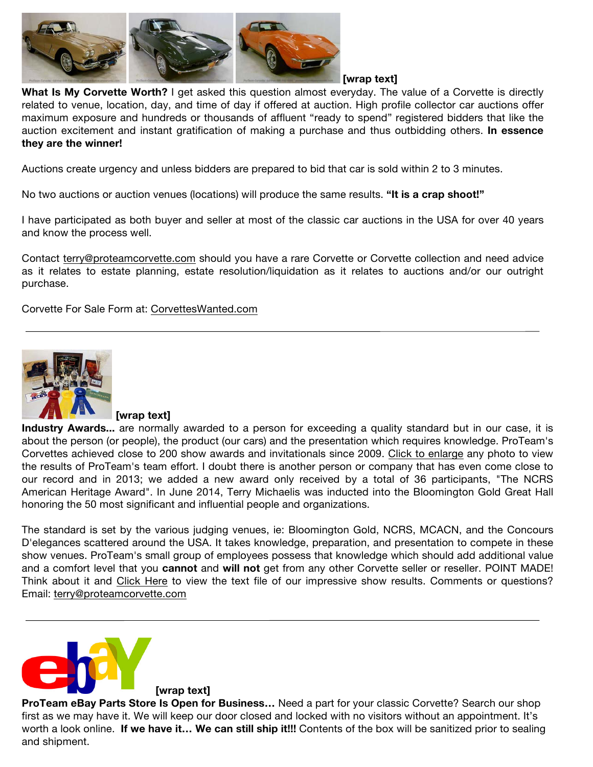

What Is My Corvette Worth? I get asked this question almost everyday. The value of a Corvette is directly related to venue, location, day, and time of day if offered at auction. High profile collector car auctions offer maximum exposure and hundreds or thousands of affluent "ready to spend" registered bidders that like the auction excitement and instant gratification of making a purchase and thus outbidding others. **In essence they are the winner!**

Auctions create urgency and unless bidders are prepared to bid that car is sold within 2 to 3 minutes.

No two auctions or auction venues (locations) will produce the same results. **"It is a crap shoot!"**

I have participated as both buyer and seller at most of the classic car auctions in the USA for over 40 years and know the process well.

Contact terry@proteamcorvette.com should you have a rare Corvette or Corvette collection and need advice as it relates to estate planning, estate resolution/liquidation as it relates to auctions and/or our outright purchase.

Corvette For Sale Form at: CorvettesWanted.com



**[wrap text]**

**Industry Awards...** are normally awarded to a person for exceeding a quality standard but in our case, it is about the person (or people), the product (our cars) and the presentation which requires knowledge. ProTeam's Corvettes achieved close to 200 show awards and invitationals since 2009. Click to enlarge any photo to view the results of ProTeam's team effort. I doubt there is another person or company that has even come close to our record and in 2013; we added a new award only received by a total of 36 participants, "The NCRS American Heritage Award". In June 2014, Terry Michaelis was inducted into the Bloomington Gold Great Hall honoring the 50 most significant and influential people and organizations.

The standard is set by the various judging venues, ie: Bloomington Gold, NCRS, MCACN, and the Concours D'elegances scattered around the USA. It takes knowledge, preparation, and presentation to compete in these show venues. ProTeam's small group of employees possess that knowledge which should add additional value and a comfort level that you **cannot** and **will not** get from any other Corvette seller or reseller. POINT MADE! Think about it and Click Here to view the text file of our impressive show results. Comments or questions? Email: terry@proteamcorvette.com



**[wrap text]**

**ProTeam eBay Parts Store Is Open for Business…** Need a part for your classic Corvette? Search our shop first as we may have it. We will keep our door closed and locked with no visitors without an appointment. It's worth a look online. **If we have it… We can still ship it!!!** Contents of the box will be sanitized prior to sealing and shipment.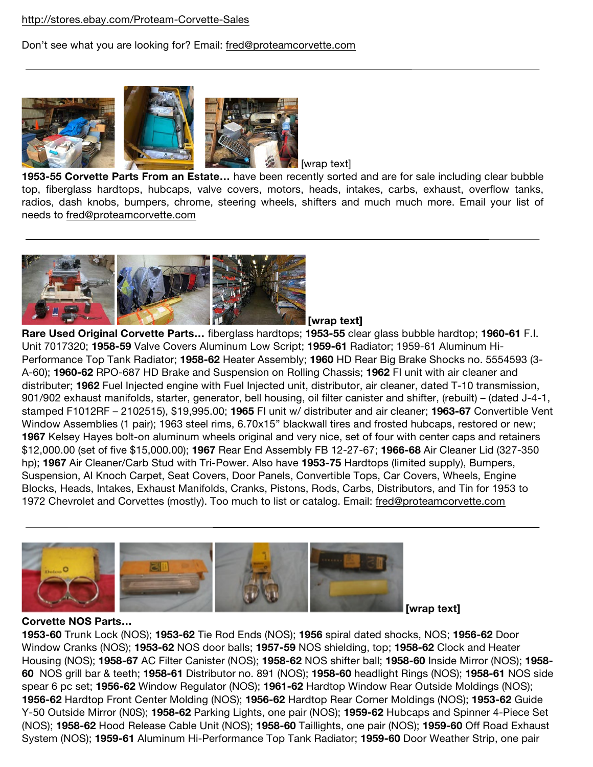## http://stores.ebay.com/Proteam-Corvette-Sales

# Don't see what you are looking for? Email: fred@proteamcorvette.com



[wrap text]

**1953-55 Corvette Parts From an Estate…** have been recently sorted and are for sale including clear bubble top, fiberglass hardtops, hubcaps, valve covers, motors, heads, intakes, carbs, exhaust, overflow tanks, radios, dash knobs, bumpers, chrome, steering wheels, shifters and much much more. Email your list of needs to fred@proteamcorvette.com



**[wrap text]**

**Rare Used Original Corvette Parts…** fiberglass hardtops; **1953-55** clear glass bubble hardtop; **1960-61** F.I. Unit 7017320; **1958-59** Valve Covers Aluminum Low Script; **1959-61** Radiator; 1959-61 Aluminum Hi-Performance Top Tank Radiator; **1958-62** Heater Assembly; **1960** HD Rear Big Brake Shocks no. 5554593 (3- A-60); **1960-62** RPO-687 HD Brake and Suspension on Rolling Chassis; **1962** FI unit with air cleaner and distributer; **1962** Fuel Injected engine with Fuel Injected unit, distributor, air cleaner, dated T-10 transmission, 901/902 exhaust manifolds, starter, generator, bell housing, oil filter canister and shifter, (rebuilt) – (dated J-4-1, stamped F1012RF – 2102515), \$19,995.00; **1965** FI unit w/ distributer and air cleaner; **1963-67** Convertible Vent Window Assemblies (1 pair); 1963 steel rims, 6.70x15" blackwall tires and frosted hubcaps, restored or new; **1967** Kelsey Hayes bolt-on aluminum wheels original and very nice, set of four with center caps and retainers \$12,000.00 (set of five \$15,000.00); **1967** Rear End Assembly FB 12-27-67; **1966-68** Air Cleaner Lid (327-350 hp); **1967** Air Cleaner/Carb Stud with Tri-Power. Also have **1953-75** Hardtops (limited supply), Bumpers, Suspension, Al Knoch Carpet, Seat Covers, Door Panels, Convertible Tops, Car Covers, Wheels, Engine Blocks, Heads, Intakes, Exhaust Manifolds, Cranks, Pistons, Rods, Carbs, Distributors, and Tin for 1953 to 1972 Chevrolet and Corvettes (mostly). Too much to list or catalog. Email: fred@proteamcorvette.com



**Corvette NOS Parts…** 

**[wrap text]**

**1953-60** Trunk Lock (NOS); **1953-62** Tie Rod Ends (NOS); **1956** spiral dated shocks, NOS; **1956-62** Door Window Cranks (NOS); **1953-62** NOS door balls; **1957-59** NOS shielding, top; **1958-62** Clock and Heater Housing (NOS); **1958-67** AC Filter Canister (NOS); **1958-62** NOS shifter ball; **1958-60** Inside Mirror (NOS); **1958- 60** NOS grill bar & teeth; **1958-61** Distributor no. 891 (NOS); **1958-60** headlight Rings (NOS); **1958-61** NOS side spear 6 pc set; **1956-62** Window Regulator (NOS); **1961-62** Hardtop Window Rear Outside Moldings (NOS); **1956-62** Hardtop Front Center Molding (NOS); **1956-62** Hardtop Rear Corner Moldings (NOS); **1953-62** Guide Y-50 Outside Mirror (N0S); **1958-62** Parking Lights, one pair (NOS); **1959-62** Hubcaps and Spinner 4-Piece Set (NOS); **1958-62** Hood Release Cable Unit (NOS); **1958-60** Taillights, one pair (NOS); **1959-60** Off Road Exhaust System (NOS); **1959-61** Aluminum Hi-Performance Top Tank Radiator; **1959-60** Door Weather Strip, one pair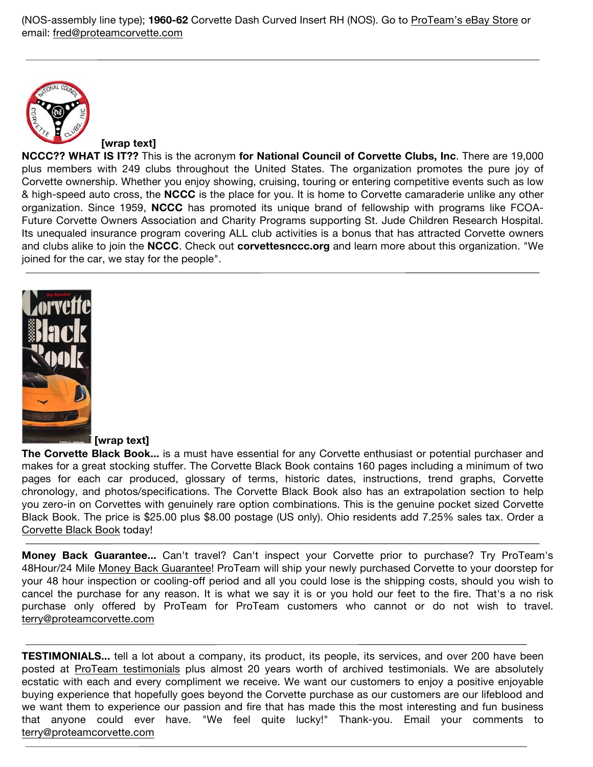(NOS-assembly line type); **1960-62** Corvette Dash Curved Insert RH (NOS). Go to ProTeam's eBay Store or email: fred@proteamcorvette.com



### **[wrap text]**

**NCCC?? WHAT IS IT??** This is the acronym **for National Council of Corvette Clubs, Inc**. There are 19,000 plus members with 249 clubs throughout the United States. The organization promotes the pure joy of Corvette ownership. Whether you enjoy showing, cruising, touring or entering competitive events such as low & high-speed auto cross, the **NCCC** is the place for you. It is home to Corvette camaraderie unlike any other organization. Since 1959, **NCCC** has promoted its unique brand of fellowship with programs like FCOA-Future Corvette Owners Association and Charity Programs supporting St. Jude Children Research Hospital. Its unequaled insurance program covering ALL club activities is a bonus that has attracted Corvette owners and clubs alike to join the **NCCC**. Check out **corvettesnccc.org** and learn more about this organization. "We joined for the car, we stay for the people".



### **[wrap text]**

**The Corvette Black Book...** is a must have essential for any Corvette enthusiast or potential purchaser and makes for a great stocking stuffer. The Corvette Black Book contains 160 pages including a minimum of two pages for each car produced, glossary of terms, historic dates, instructions, trend graphs, Corvette chronology, and photos/specifications. The Corvette Black Book also has an extrapolation section to help you zero-in on Corvettes with genuinely rare option combinations. This is the genuine pocket sized Corvette Black Book. The price is \$25.00 plus \$8.00 postage (US only). Ohio residents add 7.25% sales tax. Order a Corvette Black Book today!

**Money Back Guarantee...** Can't travel? Can't inspect your Corvette prior to purchase? Try ProTeam's 48Hour/24 Mile Money Back Guarantee! ProTeam will ship your newly purchased Corvette to your doorstep for your 48 hour inspection or cooling-off period and all you could lose is the shipping costs, should you wish to cancel the purchase for any reason. It is what we say it is or you hold our feet to the fire. That's a no risk purchase only offered by ProTeam for ProTeam customers who cannot or do not wish to travel. terry@proteamcorvette.com

**TESTIMONIALS...** tell a lot about a company, its product, its people, its services, and over 200 have been posted at ProTeam testimonials plus almost 20 years worth of archived testimonials. We are absolutely ecstatic with each and every compliment we receive. We want our customers to enjoy a positive enjoyable buying experience that hopefully goes beyond the Corvette purchase as our customers are our lifeblood and we want them to experience our passion and fire that has made this the most interesting and fun business that anyone could ever have. "We feel quite lucky!" Thank-you. Email your comments to terry@proteamcorvette.com